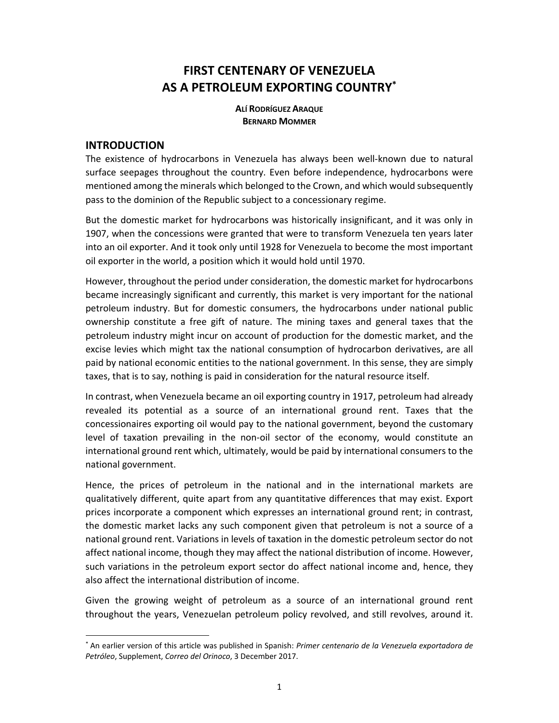# **FIRST CENTENARY OF VENEZUELA AS A PETROLEUM EXPORTING COUNTRY\***

**ALÍ RODRÍGUEZ ARAQUE BERNARD MOMMER**

# **INTRODUCTION**

-

The existence of hydrocarbons in Venezuela has always been well‐known due to natural surface seepages throughout the country. Even before independence, hydrocarbons were mentioned among the minerals which belonged to the Crown, and which would subsequently pass to the dominion of the Republic subject to a concessionary regime.

But the domestic market for hydrocarbons was historically insignificant, and it was only in 1907, when the concessions were granted that were to transform Venezuela ten years later into an oil exporter. And it took only until 1928 for Venezuela to become the most important oil exporter in the world, a position which it would hold until 1970.

However, throughout the period under consideration, the domestic market for hydrocarbons became increasingly significant and currently, this market is very important for the national petroleum industry. But for domestic consumers, the hydrocarbons under national public ownership constitute a free gift of nature. The mining taxes and general taxes that the petroleum industry might incur on account of production for the domestic market, and the excise levies which might tax the national consumption of hydrocarbon derivatives, are all paid by national economic entities to the national government. In this sense, they are simply taxes, that is to say, nothing is paid in consideration for the natural resource itself.

In contrast, when Venezuela became an oil exporting country in 1917, petroleum had already revealed its potential as a source of an international ground rent. Taxes that the concessionaires exporting oil would pay to the national government, beyond the customary level of taxation prevailing in the non-oil sector of the economy, would constitute an international ground rent which, ultimately, would be paid by international consumers to the national government.

Hence, the prices of petroleum in the national and in the international markets are qualitatively different, quite apart from any quantitative differences that may exist. Export prices incorporate a component which expresses an international ground rent; in contrast, the domestic market lacks any such component given that petroleum is not a source of a national ground rent. Variations in levels of taxation in the domestic petroleum sector do not affect national income, though they may affect the national distribution of income. However, such variations in the petroleum export sector do affect national income and, hence, they also affect the international distribution of income.

Given the growing weight of petroleum as a source of an international ground rent throughout the years, Venezuelan petroleum policy revolved, and still revolves, around it.

<sup>\*</sup> An earlier version of this article was published in Spanish: *Primer centenario de la Venezuela exportadora de Petróleo*, Supplement, *Correo del Orinoco*, 3 December 2017.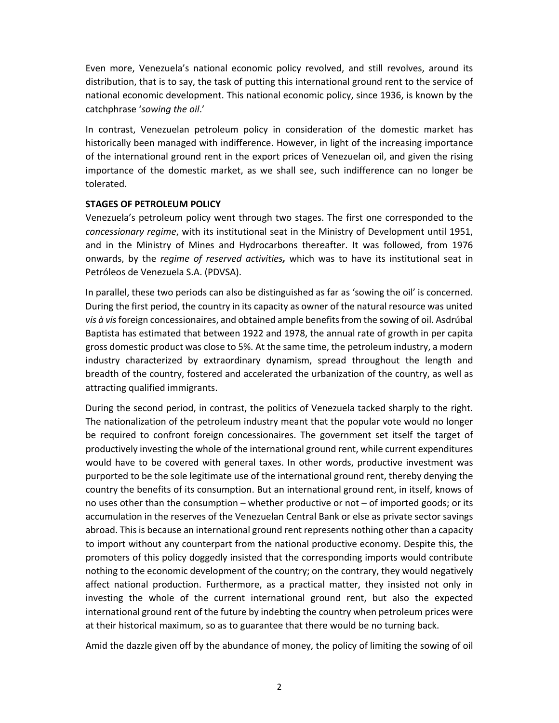Even more, Venezuela's national economic policy revolved, and still revolves, around its distribution, that is to say, the task of putting this international ground rent to the service of national economic development. This national economic policy, since 1936, is known by the catchphrase '*sowing the oil*.'

In contrast, Venezuelan petroleum policy in consideration of the domestic market has historically been managed with indifference. However, in light of the increasing importance of the international ground rent in the export prices of Venezuelan oil, and given the rising importance of the domestic market, as we shall see, such indifference can no longer be tolerated.

#### **STAGES OF PETROLEUM POLICY**

Venezuela's petroleum policy went through two stages. The first one corresponded to the *concessionary regime*, with its institutional seat in the Ministry of Development until 1951, and in the Ministry of Mines and Hydrocarbons thereafter. It was followed, from 1976 onwards, by the *regime of reserved activities,*  which was to have its institutional seat in Petróleos de Venezuela S.A. (PDVSA).

In parallel, these two periods can also be distinguished as far as 'sowing the oil' is concerned. During the first period, the country in its capacity as owner of the natural resource was united *vis à vis* foreign concessionaires, and obtained ample benefits from the sowing of oil. Asdrúbal Baptista has estimated that between 1922 and 1978, the annual rate of growth in per capita gross domestic product was close to 5%. At the same time, the petroleum industry, a modern industry characterized by extraordinary dynamism, spread throughout the length and breadth of the country, fostered and accelerated the urbanization of the country, as well as attracting qualified immigrants.

During the second period, in contrast, the politics of Venezuela tacked sharply to the right. The nationalization of the petroleum industry meant that the popular vote would no longer be required to confront foreign concessionaires. The government set itself the target of productively investing the whole of the international ground rent, while current expenditures would have to be covered with general taxes. In other words, productive investment was purported to be the sole legitimate use of the international ground rent, thereby denying the country the benefits of its consumption. But an international ground rent, in itself, knows of no uses other than the consumption – whether productive or not – of imported goods; or its accumulation in the reserves of the Venezuelan Central Bank or else as private sector savings abroad. This is because an international ground rent represents nothing other than a capacity to import without any counterpart from the national productive economy. Despite this, the promoters of this policy doggedly insisted that the corresponding imports would contribute nothing to the economic development of the country; on the contrary, they would negatively affect national production. Furthermore, as a practical matter, they insisted not only in investing the whole of the current international ground rent, but also the expected international ground rent of the future by indebting the country when petroleum prices were at their historical maximum, so as to guarantee that there would be no turning back.

Amid the dazzle given off by the abundance of money, the policy of limiting the sowing of oil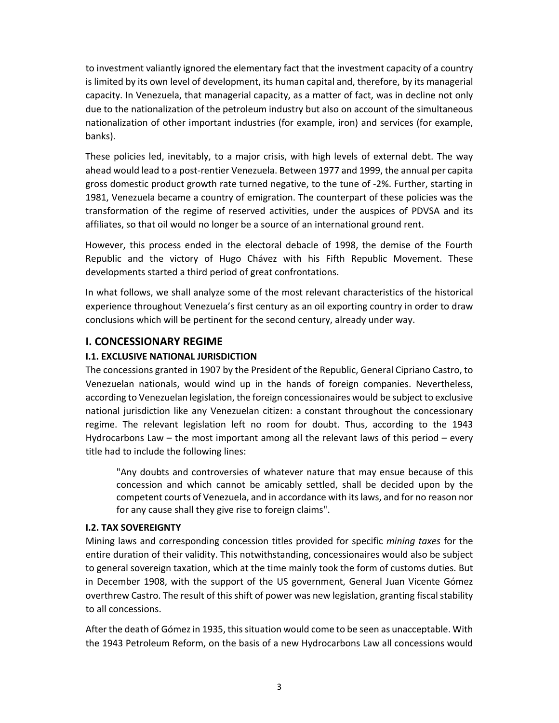to investment valiantly ignored the elementary fact that the investment capacity of a country is limited by its own level of development, its human capital and, therefore, by its managerial capacity. In Venezuela, that managerial capacity, as a matter of fact, was in decline not only due to the nationalization of the petroleum industry but also on account of the simultaneous nationalization of other important industries (for example, iron) and services (for example, banks).

These policies led, inevitably, to a major crisis, with high levels of external debt. The way ahead would lead to a post‐rentier Venezuela. Between 1977 and 1999, the annual per capita gross domestic product growth rate turned negative, to the tune of ‐2%. Further, starting in 1981, Venezuela became a country of emigration. The counterpart of these policies was the transformation of the regime of reserved activities, under the auspices of PDVSA and its affiliates, so that oil would no longer be a source of an international ground rent.

However, this process ended in the electoral debacle of 1998, the demise of the Fourth Republic and the victory of Hugo Chávez with his Fifth Republic Movement. These developments started a third period of great confrontations.

In what follows, we shall analyze some of the most relevant characteristics of the historical experience throughout Venezuela's first century as an oil exporting country in order to draw conclusions which will be pertinent for the second century, already under way.

# **I. CONCESSIONARY REGIME**

#### **I.1. EXCLUSIVE NATIONAL JURISDICTION**

The concessions granted in 1907 by the President of the Republic, General Cipriano Castro, to Venezuelan nationals, would wind up in the hands of foreign companies. Nevertheless, according to Venezuelan legislation, the foreign concessionaires would be subject to exclusive national jurisdiction like any Venezuelan citizen: a constant throughout the concessionary regime. The relevant legislation left no room for doubt. Thus, according to the 1943 Hydrocarbons Law – the most important among all the relevant laws of this period – every title had to include the following lines:

"Any doubts and controversies of whatever nature that may ensue because of this concession and which cannot be amicably settled, shall be decided upon by the competent courts of Venezuela, and in accordance with its laws, and for no reason nor for any cause shall they give rise to foreign claims".

#### **I.2. TAX SOVEREIGNTY**

Mining laws and corresponding concession titles provided for specific *mining taxes* for the entire duration of their validity. This notwithstanding, concessionaires would also be subject to general sovereign taxation, which at the time mainly took the form of customs duties. But in December 1908, with the support of the US government, General Juan Vicente Gómez overthrew Castro. The result of this shift of power was new legislation, granting fiscal stability to all concessions.

After the death of Gómez in 1935, this situation would come to be seen as unacceptable. With the 1943 Petroleum Reform, on the basis of a new Hydrocarbons Law all concessions would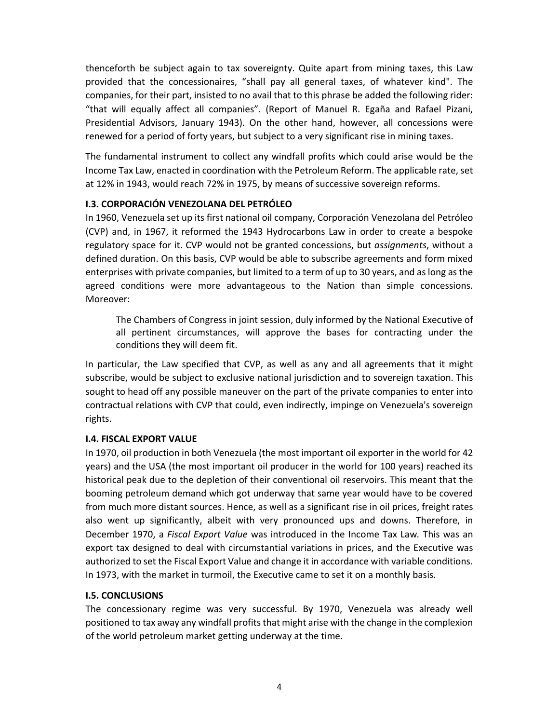thenceforth be subject again to tax sovereignty. Quite apart from mining taxes, this Law provided that the concessionaires, "shall pay all general taxes, of whatever kind". The companies, for their part, insisted to no avail that to this phrase be added the following rider: "that will equally affect all companies". (Report of Manuel R. Egaña and Rafael Pizani, Presidential Advisors, January 1943). On the other hand, however, all concessions were renewed for a period of forty years, but subject to a very significant rise in mining taxes.

The fundamental instrument to collect any windfall profits which could arise would be the Income Tax Law, enacted in coordination with the Petroleum Reform. The applicable rate, set at 12% in 1943, would reach 72% in 1975, by means of successive sovereign reforms.

#### **I.3. CORPORACIÓN VENEZOLANA DEL PETRÓLEO**

In 1960, Venezuela set up its first national oil company, Corporación Venezolana del Petróleo (CVP) and, in 1967, it reformed the 1943 Hydrocarbons Law in order to create a bespoke regulatory space for it. CVP would not be granted concessions, but *assignments*, without a defined duration. On this basis, CVP would be able to subscribe agreements and form mixed enterprises with private companies, but limited to a term of up to 30 years, and as long as the agreed conditions were more advantageous to the Nation than simple concessions. Moreover:

The Chambers of Congress in joint session, duly informed by the National Executive of all pertinent circumstances, will approve the bases for contracting under the conditions they will deem fit.

In particular, the Law specified that CVP, as well as any and all agreements that it might subscribe, would be subject to exclusive national jurisdiction and to sovereign taxation. This sought to head off any possible maneuver on the part of the private companies to enter into contractual relations with CVP that could, even indirectly, impinge on Venezuela's sovereign rights.

#### **I.4. FISCAL EXPORT VALUE**

In 1970, oil production in both Venezuela (the most important oil exporter in the world for 42 years) and the USA (the most important oil producer in the world for 100 years) reached its historical peak due to the depletion of their conventional oil reservoirs. This meant that the booming petroleum demand which got underway that same year would have to be covered from much more distant sources. Hence, as well as a significant rise in oil prices, freight rates also went up significantly, albeit with very pronounced ups and downs. Therefore, in December 1970, a *Fiscal Export Value* was introduced in the Income Tax Law*.* This was an export tax designed to deal with circumstantial variations in prices, and the Executive was authorized to set the Fiscal Export Value and change it in accordance with variable conditions. In 1973, with the market in turmoil, the Executive came to set it on a monthly basis.

#### **I.5. CONCLUSIONS**

The concessionary regime was very successful. By 1970, Venezuela was already well positioned to tax away any windfall profits that might arise with the change in the complexion of the world petroleum market getting underway at the time.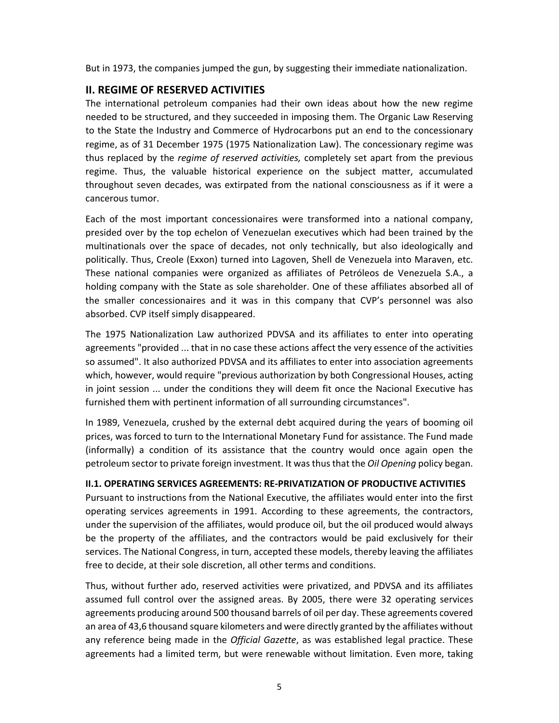But in 1973, the companies jumped the gun, by suggesting their immediate nationalization.

# **II. REGIME OF RESERVED ACTIVITIES**

The international petroleum companies had their own ideas about how the new regime needed to be structured, and they succeeded in imposing them. The Organic Law Reserving to the State the Industry and Commerce of Hydrocarbons put an end to the concessionary regime, as of 31 December 1975 (1975 Nationalization Law). The concessionary regime was thus replaced by the *regime of reserved activities,* completely set apart from the previous regime. Thus, the valuable historical experience on the subject matter, accumulated throughout seven decades, was extirpated from the national consciousness as if it were a cancerous tumor.

Each of the most important concessionaires were transformed into a national company, presided over by the top echelon of Venezuelan executives which had been trained by the multinationals over the space of decades, not only technically, but also ideologically and politically. Thus, Creole (Exxon) turned into Lagoven, Shell de Venezuela into Maraven, etc. These national companies were organized as affiliates of Petróleos de Venezuela S.A., a holding company with the State as sole shareholder. One of these affiliates absorbed all of the smaller concessionaires and it was in this company that CVP's personnel was also absorbed. CVP itself simply disappeared.

The 1975 Nationalization Law authorized PDVSA and its affiliates to enter into operating agreements "provided ... that in no case these actions affect the very essence of the activities so assumed". It also authorized PDVSA and its affiliates to enter into association agreements which, however, would require "previous authorization by both Congressional Houses, acting in joint session ... under the conditions they will deem fit once the Nacional Executive has furnished them with pertinent information of all surrounding circumstances".

In 1989, Venezuela, crushed by the external debt acquired during the years of booming oil prices, was forced to turn to the International Monetary Fund for assistance. The Fund made (informally) a condition of its assistance that the country would once again open the petroleum sector to private foreign investment. It was thus that the *Oil Opening* policy began.

## **II.1. OPERATING SERVICES AGREEMENTS: RE‐PRIVATIZATION OF PRODUCTIVE ACTIVITIES**

Pursuant to instructions from the National Executive, the affiliates would enter into the first operating services agreements in 1991. According to these agreements, the contractors, under the supervision of the affiliates, would produce oil, but the oil produced would always be the property of the affiliates, and the contractors would be paid exclusively for their services. The National Congress, in turn, accepted these models, thereby leaving the affiliates free to decide, at their sole discretion, all other terms and conditions.

Thus, without further ado, reserved activities were privatized, and PDVSA and its affiliates assumed full control over the assigned areas. By 2005, there were 32 operating services agreements producing around 500 thousand barrels of oil per day. These agreements covered an area of 43,6 thousand square kilometers and were directly granted by the affiliates without any reference being made in the *Official Gazette*, as was established legal practice. These agreements had a limited term, but were renewable without limitation. Even more, taking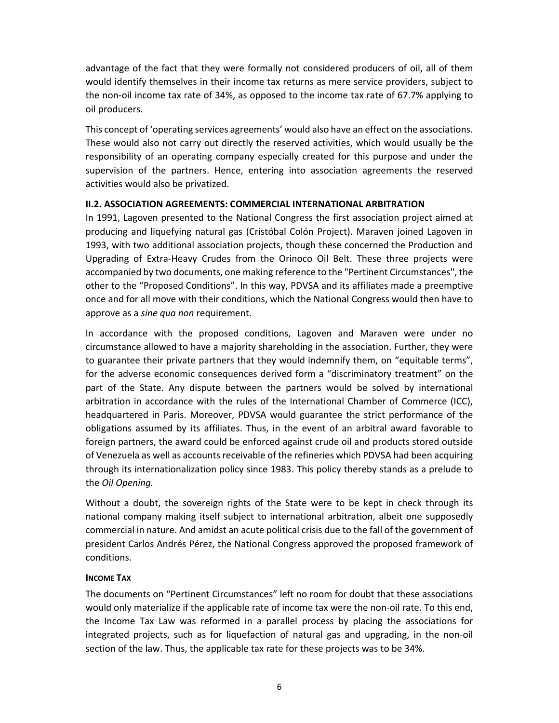advantage of the fact that they were formally not considered producers of oil, all of them would identify themselves in their income tax returns as mere service providers, subject to the non‐oil income tax rate of 34%, as opposed to the income tax rate of 67.7% applying to oil producers.

This concept of 'operating services agreements' would also have an effect on the associations. These would also not carry out directly the reserved activities, which would usually be the responsibility of an operating company especially created for this purpose and under the supervision of the partners. Hence, entering into association agreements the reserved activities would also be privatized.

#### **II.2. ASSOCIATION AGREEMENTS: COMMERCIAL INTERNATIONAL ARBITRATION**

In 1991, Lagoven presented to the National Congress the first association project aimed at producing and liquefying natural gas (Cristóbal Colón Project). Maraven joined Lagoven in 1993, with two additional association projects, though these concerned the Production and Upgrading of Extra‐Heavy Crudes from the Orinoco Oil Belt. These three projects were accompanied by two documents, one making reference to the "Pertinent Circumstances", the other to the "Proposed Conditions". In this way, PDVSA and its affiliates made a preemptive once and for all move with their conditions, which the National Congress would then have to approve as a *sine qua non* requirement.

In accordance with the proposed conditions, Lagoven and Maraven were under no circumstance allowed to have a majority shareholding in the association. Further, they were to guarantee their private partners that they would indemnify them, on "equitable terms", for the adverse economic consequences derived form a "discriminatory treatment" on the part of the State. Any dispute between the partners would be solved by international arbitration in accordance with the rules of the International Chamber of Commerce (ICC), headquartered in Paris. Moreover, PDVSA would guarantee the strict performance of the obligations assumed by its affiliates. Thus, in the event of an arbitral award favorable to foreign partners, the award could be enforced against crude oil and products stored outside of Venezuela as well as accounts receivable of the refineries which PDVSA had been acquiring through its internationalization policy since 1983. This policy thereby stands as a prelude to the *Oil Opening.* 

Without a doubt, the sovereign rights of the State were to be kept in check through its national company making itself subject to international arbitration, albeit one supposedly commercial in nature. And amidst an acute political crisis due to the fall of the government of president Carlos Andrés Pérez, the National Congress approved the proposed framework of conditions.

#### **INCOME TAX**

The documents on "Pertinent Circumstances" left no room for doubt that these associations would only materialize if the applicable rate of income tax were the non‐oil rate. To this end, the Income Tax Law was reformed in a parallel process by placing the associations for integrated projects, such as for liquefaction of natural gas and upgrading, in the non-oil section of the law. Thus, the applicable tax rate for these projects was to be 34%.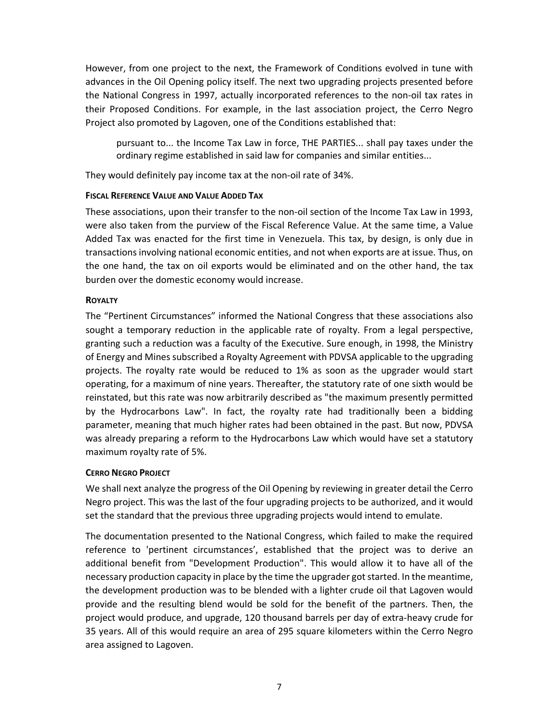However, from one project to the next, the Framework of Conditions evolved in tune with advances in the Oil Opening policy itself. The next two upgrading projects presented before the National Congress in 1997, actually incorporated references to the non-oil tax rates in their Proposed Conditions. For example, in the last association project, the Cerro Negro Project also promoted by Lagoven, one of the Conditions established that:

pursuant to... the Income Tax Law in force, THE PARTIES... shall pay taxes under the ordinary regime established in said law for companies and similar entities...

They would definitely pay income tax at the non‐oil rate of 34%.

#### **FISCAL REFERENCE VALUE AND VALUE ADDED TAX**

These associations, upon their transfer to the non-oil section of the Income Tax Law in 1993, were also taken from the purview of the Fiscal Reference Value. At the same time, a Value Added Tax was enacted for the first time in Venezuela. This tax, by design, is only due in transactions involving national economic entities, and not when exports are at issue. Thus, on the one hand, the tax on oil exports would be eliminated and on the other hand, the tax burden over the domestic economy would increase.

#### **ROYALTY**

The "Pertinent Circumstances" informed the National Congress that these associations also sought a temporary reduction in the applicable rate of royalty. From a legal perspective, granting such a reduction was a faculty of the Executive. Sure enough, in 1998, the Ministry of Energy and Mines subscribed a Royalty Agreement with PDVSA applicable to the upgrading projects. The royalty rate would be reduced to 1% as soon as the upgrader would start operating, for a maximum of nine years. Thereafter, the statutory rate of one sixth would be reinstated, but this rate was now arbitrarily described as "the maximum presently permitted by the Hydrocarbons Law". In fact, the royalty rate had traditionally been a bidding parameter, meaning that much higher rates had been obtained in the past. But now, PDVSA was already preparing a reform to the Hydrocarbons Law which would have set a statutory maximum royalty rate of 5%.

## **CERRO NEGRO PROJECT**

We shall next analyze the progress of the Oil Opening by reviewing in greater detail the Cerro Negro project. This was the last of the four upgrading projects to be authorized, and it would set the standard that the previous three upgrading projects would intend to emulate.

The documentation presented to the National Congress, which failed to make the required reference to 'pertinent circumstances', established that the project was to derive an additional benefit from "Development Production". This would allow it to have all of the necessary production capacity in place by the time the upgrader got started. In the meantime, the development production was to be blended with a lighter crude oil that Lagoven would provide and the resulting blend would be sold for the benefit of the partners. Then, the project would produce, and upgrade, 120 thousand barrels per day of extra‐heavy crude for 35 years. All of this would require an area of 295 square kilometers within the Cerro Negro area assigned to Lagoven.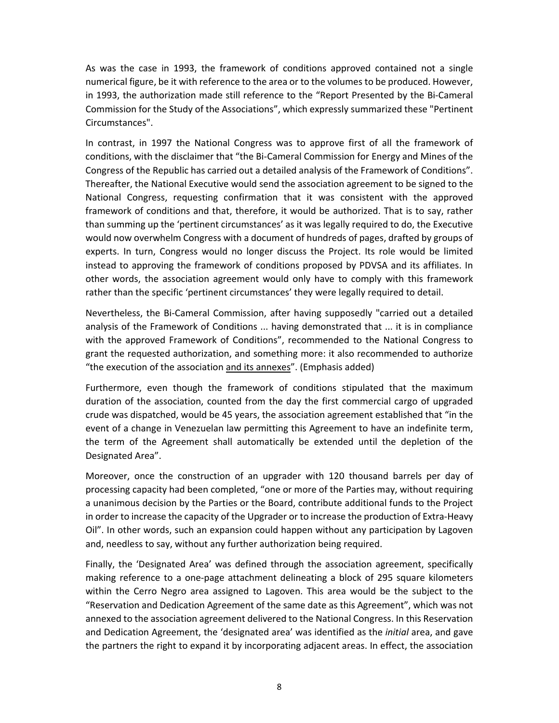As was the case in 1993, the framework of conditions approved contained not a single numerical figure, be it with reference to the area or to the volumes to be produced. However, in 1993, the authorization made still reference to the "Report Presented by the Bi‐Cameral Commission for the Study of the Associations", which expressly summarized these "Pertinent Circumstances".

In contrast, in 1997 the National Congress was to approve first of all the framework of conditions, with the disclaimer that "the Bi‐Cameral Commission for Energy and Mines of the Congress of the Republic has carried out a detailed analysis of the Framework of Conditions". Thereafter, the National Executive would send the association agreement to be signed to the National Congress, requesting confirmation that it was consistent with the approved framework of conditions and that, therefore, it would be authorized. That is to say, rather than summing up the 'pertinent circumstances' as it was legally required to do, the Executive would now overwhelm Congress with a document of hundreds of pages, drafted by groups of experts. In turn, Congress would no longer discuss the Project. Its role would be limited instead to approving the framework of conditions proposed by PDVSA and its affiliates. In other words, the association agreement would only have to comply with this framework rather than the specific 'pertinent circumstances' they were legally required to detail.

Nevertheless, the Bi‐Cameral Commission, after having supposedly "carried out a detailed analysis of the Framework of Conditions ... having demonstrated that ... it is in compliance with the approved Framework of Conditions", recommended to the National Congress to grant the requested authorization, and something more: it also recommended to authorize "the execution of the association and its annexes". (Emphasis added)

Furthermore, even though the framework of conditions stipulated that the maximum duration of the association, counted from the day the first commercial cargo of upgraded crude was dispatched, would be 45 years, the association agreement established that "in the event of a change in Venezuelan law permitting this Agreement to have an indefinite term, the term of the Agreement shall automatically be extended until the depletion of the Designated Area".

Moreover, once the construction of an upgrader with 120 thousand barrels per day of processing capacity had been completed, "one or more of the Parties may, without requiring a unanimous decision by the Parties or the Board, contribute additional funds to the Project in order to increase the capacity of the Upgrader or to increase the production of Extra‐Heavy Oil". In other words, such an expansion could happen without any participation by Lagoven and, needless to say, without any further authorization being required.

Finally, the 'Designated Area' was defined through the association agreement, specifically making reference to a one-page attachment delineating a block of 295 square kilometers within the Cerro Negro area assigned to Lagoven. This area would be the subject to the "Reservation and Dedication Agreement of the same date as this Agreement", which was not annexed to the association agreement delivered to the National Congress. In this Reservation and Dedication Agreement, the 'designated area' was identified as the *initial* area, and gave the partners the right to expand it by incorporating adjacent areas. In effect, the association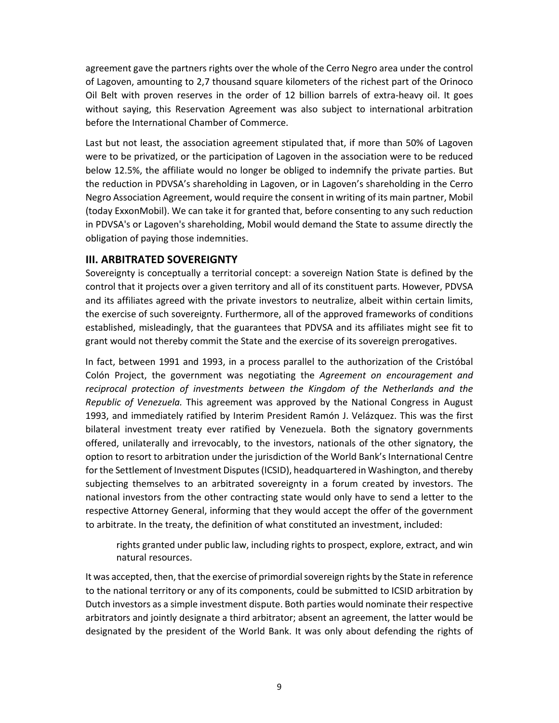agreement gave the partners rights over the whole of the Cerro Negro area under the control of Lagoven, amounting to 2,7 thousand square kilometers of the richest part of the Orinoco Oil Belt with proven reserves in the order of 12 billion barrels of extra-heavy oil. It goes without saying, this Reservation Agreement was also subject to international arbitration before the International Chamber of Commerce.

Last but not least, the association agreement stipulated that, if more than 50% of Lagoven were to be privatized, or the participation of Lagoven in the association were to be reduced below 12.5%, the affiliate would no longer be obliged to indemnify the private parties. But the reduction in PDVSA's shareholding in Lagoven, or in Lagoven's shareholding in the Cerro Negro Association Agreement, would require the consent in writing of its main partner, Mobil (today ExxonMobil). We can take it for granted that, before consenting to any such reduction in PDVSA's or Lagoven's shareholding, Mobil would demand the State to assume directly the obligation of paying those indemnities.

# **III. ARBITRATED SOVEREIGNTY**

Sovereignty is conceptually a territorial concept: a sovereign Nation State is defined by the control that it projects over a given territory and all of its constituent parts. However, PDVSA and its affiliates agreed with the private investors to neutralize, albeit within certain limits, the exercise of such sovereignty. Furthermore, all of the approved frameworks of conditions established, misleadingly, that the guarantees that PDVSA and its affiliates might see fit to grant would not thereby commit the State and the exercise of its sovereign prerogatives.

In fact, between 1991 and 1993, in a process parallel to the authorization of the Cristóbal Colón Project, the government was negotiating the *Agreement on encouragement and reciprocal protection of investments between the Kingdom of the Netherlands and the Republic of Venezuela.* This agreement was approved by the National Congress in August 1993, and immediately ratified by Interim President Ramón J. Velázquez. This was the first bilateral investment treaty ever ratified by Venezuela. Both the signatory governments offered, unilaterally and irrevocably, to the investors, nationals of the other signatory, the option to resort to arbitration under the jurisdiction of the World Bank's International Centre for the Settlement of Investment Disputes (ICSID), headquartered in Washington, and thereby subjecting themselves to an arbitrated sovereignty in a forum created by investors. The national investors from the other contracting state would only have to send a letter to the respective Attorney General, informing that they would accept the offer of the government to arbitrate. In the treaty, the definition of what constituted an investment, included:

rights granted under public law, including rights to prospect, explore, extract, and win natural resources.

It was accepted, then, that the exercise of primordial sovereign rights by the State in reference to the national territory or any of its components, could be submitted to ICSID arbitration by Dutch investors as a simple investment dispute. Both parties would nominate their respective arbitrators and jointly designate a third arbitrator; absent an agreement, the latter would be designated by the president of the World Bank. It was only about defending the rights of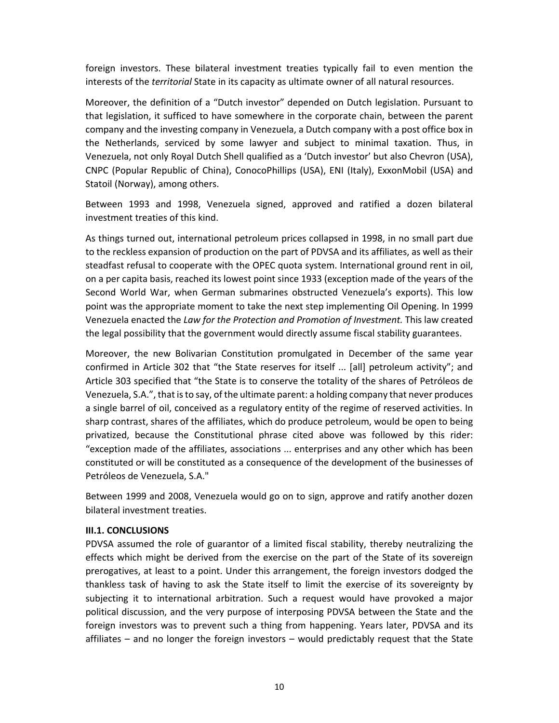foreign investors. These bilateral investment treaties typically fail to even mention the interests of the *territorial* State in its capacity as ultimate owner of all natural resources.

Moreover, the definition of a "Dutch investor" depended on Dutch legislation. Pursuant to that legislation, it sufficed to have somewhere in the corporate chain, between the parent company and the investing company in Venezuela, a Dutch company with a post office box in the Netherlands, serviced by some lawyer and subject to minimal taxation. Thus, in Venezuela, not only Royal Dutch Shell qualified as a 'Dutch investor' but also Chevron (USA), CNPC (Popular Republic of China), ConocoPhillips (USA), ENI (Italy), ExxonMobil (USA) and Statoil (Norway), among others.

Between 1993 and 1998, Venezuela signed, approved and ratified a dozen bilateral investment treaties of this kind.

As things turned out, international petroleum prices collapsed in 1998, in no small part due to the reckless expansion of production on the part of PDVSA and its affiliates, as well as their steadfast refusal to cooperate with the OPEC quota system. International ground rent in oil, on a per capita basis, reached its lowest point since 1933 (exception made of the years of the Second World War, when German submarines obstructed Venezuela's exports). This low point was the appropriate moment to take the next step implementing Oil Opening. In 1999 Venezuela enacted the *Law for the Protection and Promotion of Investment.* This law created the legal possibility that the government would directly assume fiscal stability guarantees.

Moreover, the new Bolivarian Constitution promulgated in December of the same year confirmed in Article 302 that "the State reserves for itself ... [all] petroleum activity"; and Article 303 specified that "the State is to conserve the totality of the shares of Petróleos de Venezuela, S.A.", that is to say, of the ultimate parent: a holding company that never produces a single barrel of oil, conceived as a regulatory entity of the regime of reserved activities. In sharp contrast, shares of the affiliates, which do produce petroleum, would be open to being privatized, because the Constitutional phrase cited above was followed by this rider: "exception made of the affiliates, associations ... enterprises and any other which has been constituted or will be constituted as a consequence of the development of the businesses of Petróleos de Venezuela, S.A."

Between 1999 and 2008, Venezuela would go on to sign, approve and ratify another dozen bilateral investment treaties.

#### **III.1. CONCLUSIONS**

PDVSA assumed the role of guarantor of a limited fiscal stability, thereby neutralizing the effects which might be derived from the exercise on the part of the State of its sovereign prerogatives, at least to a point. Under this arrangement, the foreign investors dodged the thankless task of having to ask the State itself to limit the exercise of its sovereignty by subjecting it to international arbitration. Such a request would have provoked a major political discussion, and the very purpose of interposing PDVSA between the State and the foreign investors was to prevent such a thing from happening. Years later, PDVSA and its affiliates – and no longer the foreign investors – would predictably request that the State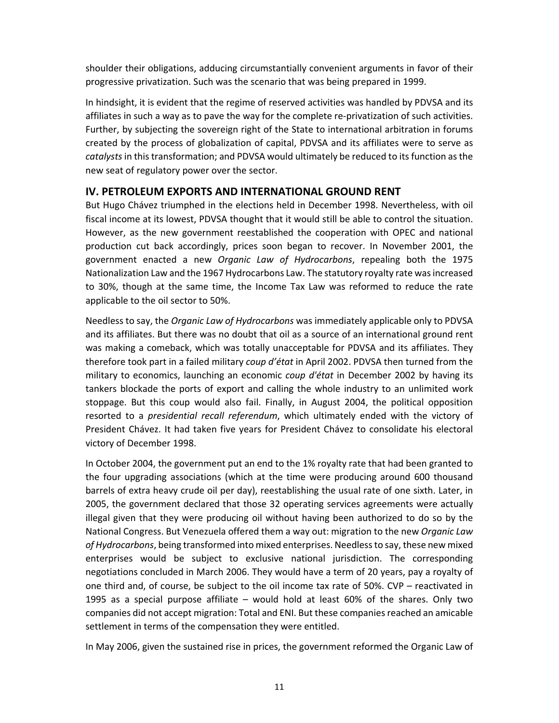shoulder their obligations, adducing circumstantially convenient arguments in favor of their progressive privatization. Such was the scenario that was being prepared in 1999.

In hindsight, it is evident that the regime of reserved activities was handled by PDVSA and its affiliates in such a way as to pave the way for the complete re‐privatization of such activities. Further, by subjecting the sovereign right of the State to international arbitration in forums created by the process of globalization of capital, PDVSA and its affiliates were to serve as *catalysts* in this transformation; and PDVSA would ultimately be reduced to its function as the new seat of regulatory power over the sector.

# **IV. PETROLEUM EXPORTS AND INTERNATIONAL GROUND RENT**

But Hugo Chávez triumphed in the elections held in December 1998. Nevertheless, with oil fiscal income at its lowest, PDVSA thought that it would still be able to control the situation. However, as the new government reestablished the cooperation with OPEC and national production cut back accordingly, prices soon began to recover. In November 2001, the government enacted a new *Organic Law of Hydrocarbons*, repealing both the 1975 Nationalization Law and the 1967 Hydrocarbons Law. The statutory royalty rate was increased to 30%, though at the same time, the Income Tax Law was reformed to reduce the rate applicable to the oil sector to 50%.

Needless to say, the *Organic Law of Hydrocarbons* was immediately applicable only to PDVSA and its affiliates. But there was no doubt that oil as a source of an international ground rent was making a comeback, which was totally unacceptable for PDVSA and its affiliates. They therefore took part in a failed military *coup d'état* in April 2002. PDVSA then turned from the military to economics, launching an economic *coup d'état* in December 2002 by having its tankers blockade the ports of export and calling the whole industry to an unlimited work stoppage. But this coup would also fail. Finally, in August 2004, the political opposition resorted to a *presidential recall referendum*, which ultimately ended with the victory of President Chávez. It had taken five years for President Chávez to consolidate his electoral victory of December 1998.

In October 2004, the government put an end to the 1% royalty rate that had been granted to the four upgrading associations (which at the time were producing around 600 thousand barrels of extra heavy crude oil per day), reestablishing the usual rate of one sixth. Later, in 2005, the government declared that those 32 operating services agreements were actually illegal given that they were producing oil without having been authorized to do so by the National Congress. But Venezuela offered them a way out: migration to the new *Organic Law of Hydrocarbons*, being transformed into mixed enterprises. Needless to say, these new mixed enterprises would be subject to exclusive national jurisdiction. The corresponding negotiations concluded in March 2006. They would have a term of 20 years, pay a royalty of one third and, of course, be subject to the oil income tax rate of 50%. CVP – reactivated in 1995 as a special purpose affiliate – would hold at least 60% of the shares. Only two companies did not accept migration: Total and ENI. But these companies reached an amicable settlement in terms of the compensation they were entitled.

In May 2006, given the sustained rise in prices, the government reformed the Organic Law of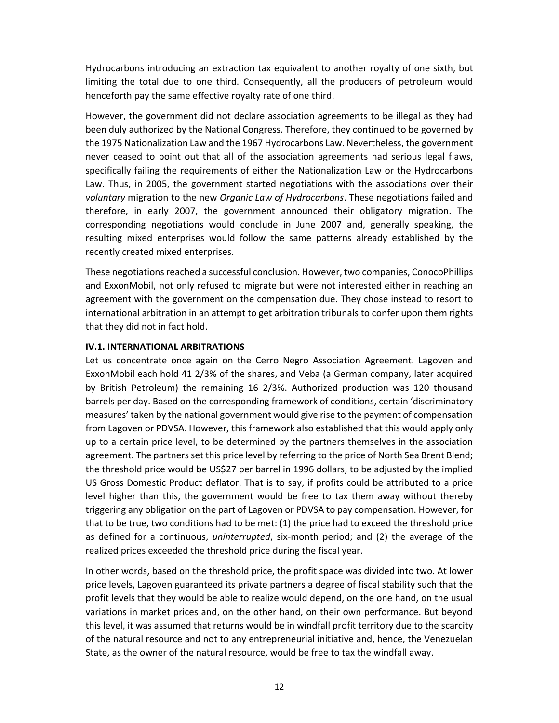Hydrocarbons introducing an extraction tax equivalent to another royalty of one sixth, but limiting the total due to one third. Consequently, all the producers of petroleum would henceforth pay the same effective royalty rate of one third.

However, the government did not declare association agreements to be illegal as they had been duly authorized by the National Congress. Therefore, they continued to be governed by the 1975 Nationalization Law and the 1967 Hydrocarbons Law. Nevertheless, the government never ceased to point out that all of the association agreements had serious legal flaws, specifically failing the requirements of either the Nationalization Law or the Hydrocarbons Law. Thus, in 2005, the government started negotiations with the associations over their *voluntary* migration to the new *Organic Law of Hydrocarbons*. These negotiations failed and therefore, in early 2007, the government announced their obligatory migration. The corresponding negotiations would conclude in June 2007 and, generally speaking, the resulting mixed enterprises would follow the same patterns already established by the recently created mixed enterprises.

These negotiations reached a successful conclusion. However, two companies, ConocoPhillips and ExxonMobil, not only refused to migrate but were not interested either in reaching an agreement with the government on the compensation due. They chose instead to resort to international arbitration in an attempt to get arbitration tribunals to confer upon them rights that they did not in fact hold.

#### **IV.1. INTERNATIONAL ARBITRATIONS**

Let us concentrate once again on the Cerro Negro Association Agreement. Lagoven and ExxonMobil each hold 41 2/3% of the shares, and Veba (a German company, later acquired by British Petroleum) the remaining 16 2/3%. Authorized production was 120 thousand barrels per day. Based on the corresponding framework of conditions, certain 'discriminatory measures' taken by the national government would give rise to the payment of compensation from Lagoven or PDVSA. However, this framework also established that this would apply only up to a certain price level, to be determined by the partners themselves in the association agreement. The partners set this price level by referring to the price of North Sea Brent Blend; the threshold price would be US\$27 per barrel in 1996 dollars, to be adjusted by the implied US Gross Domestic Product deflator. That is to say, if profits could be attributed to a price level higher than this, the government would be free to tax them away without thereby triggering any obligation on the part of Lagoven or PDVSA to pay compensation. However, for that to be true, two conditions had to be met: (1) the price had to exceed the threshold price as defined for a continuous, *uninterrupted*, six‐month period; and (2) the average of the realized prices exceeded the threshold price during the fiscal year.

In other words, based on the threshold price, the profit space was divided into two. At lower price levels, Lagoven guaranteed its private partners a degree of fiscal stability such that the profit levels that they would be able to realize would depend, on the one hand, on the usual variations in market prices and, on the other hand, on their own performance. But beyond this level, it was assumed that returns would be in windfall profit territory due to the scarcity of the natural resource and not to any entrepreneurial initiative and, hence, the Venezuelan State, as the owner of the natural resource, would be free to tax the windfall away.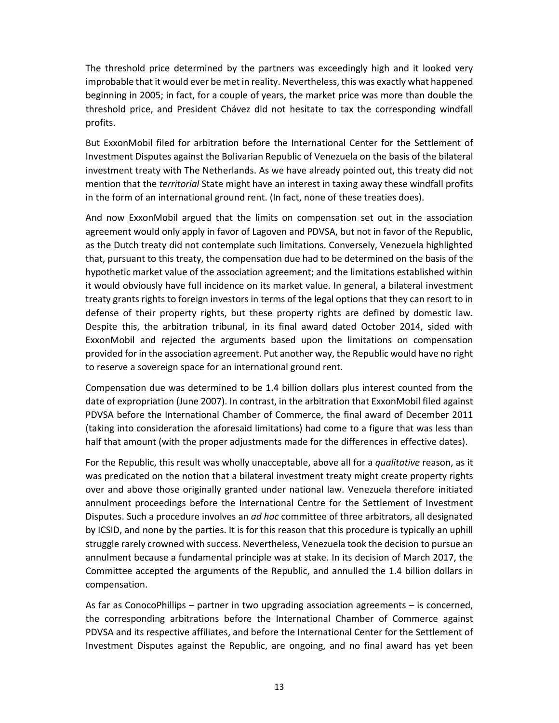The threshold price determined by the partners was exceedingly high and it looked very improbable that it would ever be met in reality. Nevertheless, this was exactly what happened beginning in 2005; in fact, for a couple of years, the market price was more than double the threshold price, and President Chávez did not hesitate to tax the corresponding windfall profits.

But ExxonMobil filed for arbitration before the International Center for the Settlement of Investment Disputes against the Bolivarian Republic of Venezuela on the basis of the bilateral investment treaty with The Netherlands. As we have already pointed out, this treaty did not mention that the *territorial* State might have an interest in taxing away these windfall profits in the form of an international ground rent. (In fact, none of these treaties does).

And now ExxonMobil argued that the limits on compensation set out in the association agreement would only apply in favor of Lagoven and PDVSA, but not in favor of the Republic, as the Dutch treaty did not contemplate such limitations. Conversely, Venezuela highlighted that, pursuant to this treaty, the compensation due had to be determined on the basis of the hypothetic market value of the association agreement; and the limitations established within it would obviously have full incidence on its market value. In general, a bilateral investment treaty grants rights to foreign investors in terms of the legal options that they can resort to in defense of their property rights, but these property rights are defined by domestic law. Despite this, the arbitration tribunal, in its final award dated October 2014, sided with ExxonMobil and rejected the arguments based upon the limitations on compensation provided for in the association agreement. Put another way, the Republic would have no right to reserve a sovereign space for an international ground rent.

Compensation due was determined to be 1.4 billion dollars plus interest counted from the date of expropriation (June 2007). In contrast, in the arbitration that ExxonMobil filed against PDVSA before the International Chamber of Commerce, the final award of December 2011 (taking into consideration the aforesaid limitations) had come to a figure that was less than half that amount (with the proper adjustments made for the differences in effective dates).

For the Republic, this result was wholly unacceptable, above all for a *qualitative* reason, as it was predicated on the notion that a bilateral investment treaty might create property rights over and above those originally granted under national law. Venezuela therefore initiated annulment proceedings before the International Centre for the Settlement of Investment Disputes. Such a procedure involves an *ad hoc* committee of three arbitrators, all designated by ICSID, and none by the parties. It is for this reason that this procedure is typically an uphill struggle rarely crowned with success. Nevertheless, Venezuela took the decision to pursue an annulment because a fundamental principle was at stake. In its decision of March 2017, the Committee accepted the arguments of the Republic, and annulled the 1.4 billion dollars in compensation.

As far as ConocoPhillips – partner in two upgrading association agreements – is concerned, the corresponding arbitrations before the International Chamber of Commerce against PDVSA and its respective affiliates, and before the International Center for the Settlement of Investment Disputes against the Republic, are ongoing, and no final award has yet been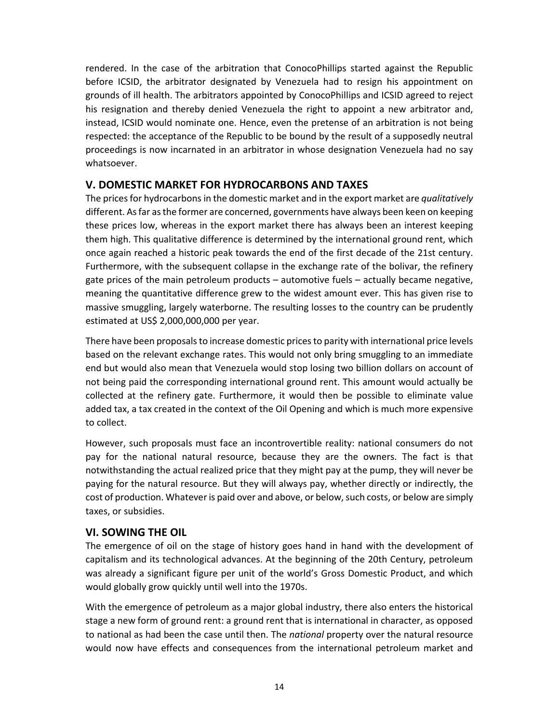rendered. In the case of the arbitration that ConocoPhillips started against the Republic before ICSID, the arbitrator designated by Venezuela had to resign his appointment on grounds of ill health. The arbitrators appointed by ConocoPhillips and ICSID agreed to reject his resignation and thereby denied Venezuela the right to appoint a new arbitrator and, instead, ICSID would nominate one. Hence, even the pretense of an arbitration is not being respected: the acceptance of the Republic to be bound by the result of a supposedly neutral proceedings is now incarnated in an arbitrator in whose designation Venezuela had no say whatsoever.

# **V. DOMESTIC MARKET FOR HYDROCARBONS AND TAXES**

The prices for hydrocarbons in the domestic market and in the export market are *qualitatively* different. As far as the former are concerned, governments have always been keen on keeping these prices low, whereas in the export market there has always been an interest keeping them high. This qualitative difference is determined by the international ground rent, which once again reached a historic peak towards the end of the first decade of the 21st century. Furthermore, with the subsequent collapse in the exchange rate of the bolivar, the refinery gate prices of the main petroleum products – automotive fuels – actually became negative, meaning the quantitative difference grew to the widest amount ever. This has given rise to massive smuggling, largely waterborne. The resulting losses to the country can be prudently estimated at US\$ 2,000,000,000 per year.

There have been proposals to increase domestic prices to parity with international price levels based on the relevant exchange rates. This would not only bring smuggling to an immediate end but would also mean that Venezuela would stop losing two billion dollars on account of not being paid the corresponding international ground rent. This amount would actually be collected at the refinery gate. Furthermore, it would then be possible to eliminate value added tax, a tax created in the context of the Oil Opening and which is much more expensive to collect.

However, such proposals must face an incontrovertible reality: national consumers do not pay for the national natural resource, because they are the owners. The fact is that notwithstanding the actual realized price that they might pay at the pump, they will never be paying for the natural resource. But they will always pay, whether directly or indirectly, the cost of production. Whatever is paid over and above, or below, such costs, or below are simply taxes, or subsidies.

# **VI. SOWING THE OIL**

The emergence of oil on the stage of history goes hand in hand with the development of capitalism and its technological advances. At the beginning of the 20th Century, petroleum was already a significant figure per unit of the world's Gross Domestic Product, and which would globally grow quickly until well into the 1970s.

With the emergence of petroleum as a major global industry, there also enters the historical stage a new form of ground rent: a ground rent that is international in character, as opposed to national as had been the case until then. The *national* property over the natural resource would now have effects and consequences from the international petroleum market and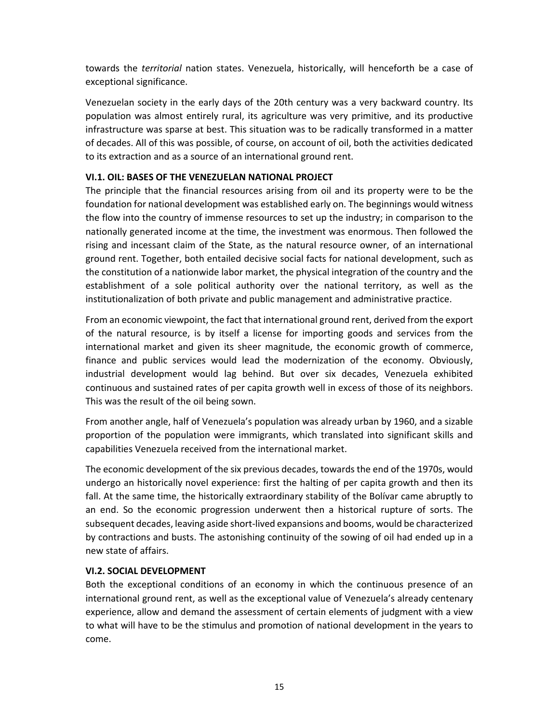towards the *territorial*  nation states. Venezuela, historically, will henceforth be a case of exceptional significance.

Venezuelan society in the early days of the 20th century was a very backward country. Its population was almost entirely rural, its agriculture was very primitive, and its productive infrastructure was sparse at best. This situation was to be radically transformed in a matter of decades. All of this was possible, of course, on account of oil, both the activities dedicated to its extraction and as a source of an international ground rent.

#### **VI.1. OIL: BASES OF THE VENEZUELAN NATIONAL PROJECT**

The principle that the financial resources arising from oil and its property were to be the foundation for national development was established early on. The beginnings would witness the flow into the country of immense resources to set up the industry; in comparison to the nationally generated income at the time, the investment was enormous. Then followed the rising and incessant claim of the State, as the natural resource owner, of an international ground rent. Together, both entailed decisive social facts for national development, such as the constitution of a nationwide labor market, the physical integration of the country and the establishment of a sole political authority over the national territory, as well as the institutionalization of both private and public management and administrative practice.

From an economic viewpoint, the fact that international ground rent, derived from the export of the natural resource, is by itself a license for importing goods and services from the international market and given its sheer magnitude, the economic growth of commerce, finance and public services would lead the modernization of the economy. Obviously, industrial development would lag behind. But over six decades, Venezuela exhibited continuous and sustained rates of per capita growth well in excess of those of its neighbors. This was the result of the oil being sown.

From another angle, half of Venezuela's population was already urban by 1960, and a sizable proportion of the population were immigrants, which translated into significant skills and capabilities Venezuela received from the international market.

The economic development of the six previous decades, towards the end of the 1970s, would undergo an historically novel experience: first the halting of per capita growth and then its fall. At the same time, the historically extraordinary stability of the Bolívar came abruptly to an end. So the economic progression underwent then a historical rupture of sorts. The subsequent decades, leaving aside short‐lived expansions and booms, would be characterized by contractions and busts. The astonishing continuity of the sowing of oil had ended up in a new state of affairs.

## **VI.2. SOCIAL DEVELOPMENT**

Both the exceptional conditions of an economy in which the continuous presence of an international ground rent, as well as the exceptional value of Venezuela's already centenary experience, allow and demand the assessment of certain elements of judgment with a view to what will have to be the stimulus and promotion of national development in the years to come.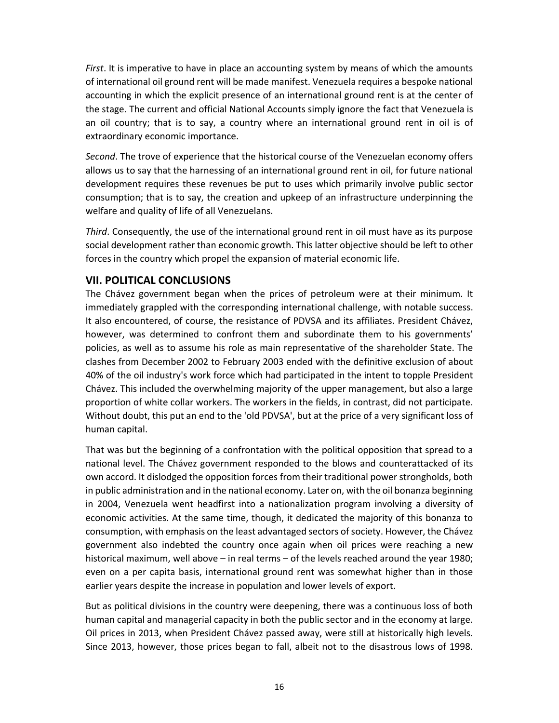*First*. It is imperative to have in place an accounting system by means of which the amounts of international oil ground rent will be made manifest. Venezuela requires a bespoke national accounting in which the explicit presence of an international ground rent is at the center of the stage. The current and official National Accounts simply ignore the fact that Venezuela is an oil country; that is to say, a country where an international ground rent in oil is of extraordinary economic importance.

*Second*. The trove of experience that the historical course of the Venezuelan economy offers allows us to say that the harnessing of an international ground rent in oil, for future national development requires these revenues be put to uses which primarily involve public sector consumption; that is to say, the creation and upkeep of an infrastructure underpinning the welfare and quality of life of all Venezuelans.

*Third*. Consequently, the use of the international ground rent in oil must have as its purpose social development rather than economic growth. This latter objective should be left to other forces in the country which propel the expansion of material economic life.

# **VII. POLITICAL CONCLUSIONS**

The Chávez government began when the prices of petroleum were at their minimum. It immediately grappled with the corresponding international challenge, with notable success. It also encountered, of course, the resistance of PDVSA and its affiliates. President Chávez, however, was determined to confront them and subordinate them to his governments' policies, as well as to assume his role as main representative of the shareholder State. The clashes from December 2002 to February 2003 ended with the definitive exclusion of about 40% of the oil industry's work force which had participated in the intent to topple President Chávez. This included the overwhelming majority of the upper management, but also a large proportion of white collar workers. The workers in the fields, in contrast, did not participate. Without doubt, this put an end to the 'old PDVSA', but at the price of a very significant loss of human capital.

That was but the beginning of a confrontation with the political opposition that spread to a national level. The Chávez government responded to the blows and counterattacked of its own accord. It dislodged the opposition forces from their traditional power strongholds, both in public administration and in the national economy. Later on, with the oil bonanza beginning in 2004, Venezuela went headfirst into a nationalization program involving a diversity of economic activities. At the same time, though, it dedicated the majority of this bonanza to consumption, with emphasis on the least advantaged sectors of society. However, the Chávez government also indebted the country once again when oil prices were reaching a new historical maximum, well above – in real terms – of the levels reached around the year 1980; even on a per capita basis, international ground rent was somewhat higher than in those earlier years despite the increase in population and lower levels of export.

But as political divisions in the country were deepening, there was a continuous loss of both human capital and managerial capacity in both the public sector and in the economy at large. Oil prices in 2013, when President Chávez passed away, were still at historically high levels. Since 2013, however, those prices began to fall, albeit not to the disastrous lows of 1998.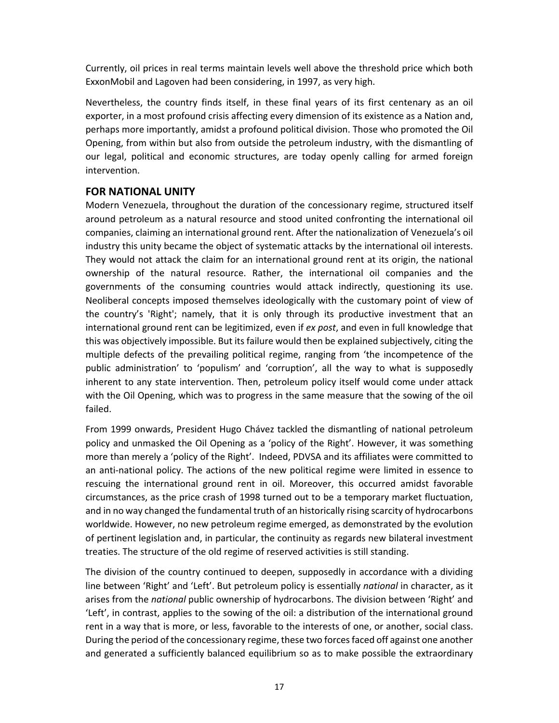Currently, oil prices in real terms maintain levels well above the threshold price which both ExxonMobil and Lagoven had been considering, in 1997, as very high.

Nevertheless, the country finds itself, in these final years of its first centenary as an oil exporter, in a most profound crisis affecting every dimension of its existence as a Nation and, perhaps more importantly, amidst a profound political division. Those who promoted the Oil Opening, from within but also from outside the petroleum industry, with the dismantling of our legal, political and economic structures, are today openly calling for armed foreign intervention.

# **FOR NATIONAL UNITY**

Modern Venezuela, throughout the duration of the concessionary regime, structured itself around petroleum as a natural resource and stood united confronting the international oil companies, claiming an international ground rent. After the nationalization of Venezuela's oil industry this unity became the object of systematic attacks by the international oil interests. They would not attack the claim for an international ground rent at its origin, the national ownership of the natural resource. Rather, the international oil companies and the governments of the consuming countries would attack indirectly, questioning its use. Neoliberal concepts imposed themselves ideologically with the customary point of view of the country's 'Right'; namely, that it is only through its productive investment that an international ground rent can be legitimized, even if *ex post*, and even in full knowledge that this was objectively impossible. But its failure would then be explained subjectively, citing the multiple defects of the prevailing political regime, ranging from 'the incompetence of the public administration' to 'populism' and 'corruption', all the way to what is supposedly inherent to any state intervention. Then, petroleum policy itself would come under attack with the Oil Opening, which was to progress in the same measure that the sowing of the oil failed.

From 1999 onwards, President Hugo Chávez tackled the dismantling of national petroleum policy and unmasked the Oil Opening as a 'policy of the Right'. However, it was something more than merely a 'policy of the Right'. Indeed, PDVSA and its affiliates were committed to an anti-national policy. The actions of the new political regime were limited in essence to rescuing the international ground rent in oil. Moreover, this occurred amidst favorable circumstances, as the price crash of 1998 turned out to be a temporary market fluctuation, and in no way changed the fundamental truth of an historically rising scarcity of hydrocarbons worldwide. However, no new petroleum regime emerged, as demonstrated by the evolution of pertinent legislation and, in particular, the continuity as regards new bilateral investment treaties. The structure of the old regime of reserved activities is still standing.

The division of the country continued to deepen, supposedly in accordance with a dividing line between 'Right' and 'Left'. But petroleum policy is essentially *national* in character, as it arises from the *national* public ownership of hydrocarbons. The division between 'Right' and 'Left', in contrast, applies to the sowing of the oil: a distribution of the international ground rent in a way that is more, or less, favorable to the interests of one, or another, social class. During the period of the concessionary regime, these two forces faced off against one another and generated a sufficiently balanced equilibrium so as to make possible the extraordinary